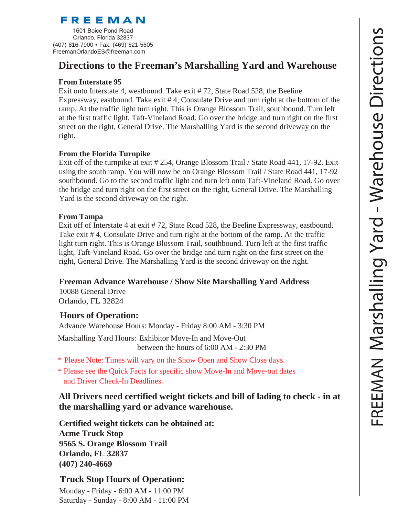# FREEMAN

1601 Boice Pond Road Orlando, Florida 32837 (407) 816-7900 • Fax: (469) 621-5605 FreemanOrlandoES@freeman.com

# **Directions to the Freeman's Marshalling Yard and Warehouse**

#### **From Interstate 95**

Exit onto Interstate 4, westbound. Take exit # 72, State Road 528, the Beeline Expressway, eastbound. Take exit # 4, Consulate Drive and turn right at the bottom of the ramp. At the traffic light turn right. This is Orange Blossom Trail, southbound. Turn left at the first traffic light, Taft-Vineland Road. Go over the bridge and turn right on the first street on the right, General Drive. The Marshalling Yard is the second driveway on the right.

### **From the Florida Turnpike**

Exit off of the turnpike at exit # 254, Orange Blossom Trail / State Road 441, 17-92. Exit using the south ramp. You will now be on Orange Blossom Trail / State Road 441, 17-92 southbound. Go to the second traffic light and turn left onto Taft-Vineland Road. Go over the bridge and turn right on the first street on the right, General Drive. The Marshalling Yard is the second driveway on the right.

#### **From Tampa**

Exit off of Interstate 4 at exit # 72, State Road 528, the Beeline Expressway, eastbound. Take exit # 4, Consulate Drive and turn right at the bottom of the ramp. At the traffic light turn right. This is Orange Blossom Trail, southbound. Turn left at the first traffic light, Taft-Vineland Road. Go over the bridge and turn right on the first street on the right, General Drive. The Marshalling Yard is the second driveway on the right.

### **Freeman Advance Warehouse / Show Site Marshalling Yard Address**

10088 General Drive Orlando, FL 32824

## **Hours of Operation:**

Advance Warehouse Hours: Monday - Friday 8:00 AM - 3:30 PM

Marshalling Yard Hours: Exhibitor Move-In and Move-Out between the hours of 6:00 AM - 2:30 PM

- Please Note: Times will vary on the Show Open and Show Close days. \*
- Please see the Quick Facts for specific show Move-In and Move-out dates \* and Driver Check-In Deadlines.

**All Drivers need certified weight tickets and bill of lading to check - in at the marshalling yard or advance warehouse.**

**Certified weight tickets can be obtained at: Acme Truck Stop 9565 S. Orange Blossom Trail Orlando, FL 32837 (407) 240-4669**

## **Truck Stop Hours of Operation:**

Monday - Friday - 6:00 AM - 11:00 PM Saturday - Sunday - 8:00 AM - 11:00 PM